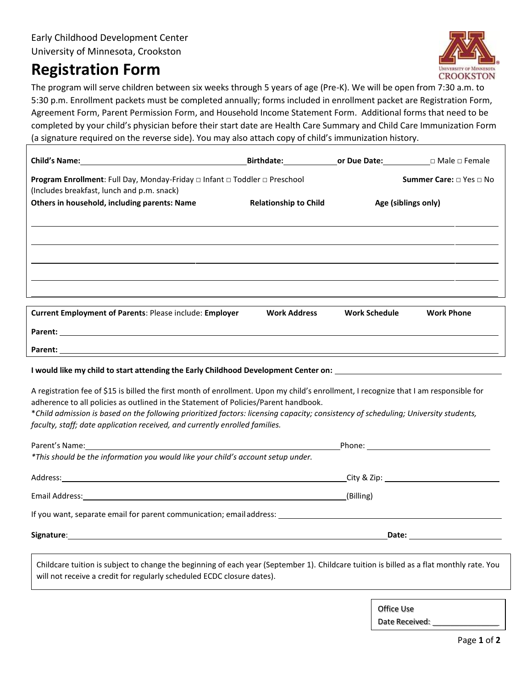## **Registration Form**



The program will serve children between six weeks through 5 years of age (Pre-K). We will be open from 7:30 a.m. to 5:00 p.m. Enrollment packets must be completed annually; forms included in enrollment packet are Registration Form, Agreement Form, Parent Permission Form, and Household Income Statement Form. Additional forms that need to be completed by your child's physician before their start date are Health Care Summary and Child Care Immunization Form (a signature required on the reverse side). You may also attach copy of child's immunization history.

|                                                                                                                                                | <b>Birthdate: 6. Online Date:</b> Dividend Dividend Permale |                      |                                |
|------------------------------------------------------------------------------------------------------------------------------------------------|-------------------------------------------------------------|----------------------|--------------------------------|
| <b>Program Enrollment:</b> Full Day, Monday-Friday $\Box$ Infant $\Box$ Toddler $\Box$ Preschool<br>(Includes breakfast, lunch and p.m. snack) |                                                             |                      | <b>Summer Care:</b> □ Yes □ No |
| Others in household, including parents: Name                                                                                                   | <b>Relationship to Child</b>                                | Age (siblings only)  |                                |
|                                                                                                                                                |                                                             |                      |                                |
|                                                                                                                                                |                                                             |                      |                                |
|                                                                                                                                                |                                                             |                      |                                |
|                                                                                                                                                |                                                             |                      |                                |
| <b>Current Employment of Parents: Please include: Employer</b>                                                                                 | <b>Work Address</b>                                         | <b>Work Schedule</b> | <b>Work Phone</b>              |
| <b>Parent:</b> Parent:                                                                                                                         |                                                             |                      |                                |

**Parent:** 

## **I would like my child to start attending the Early Childhood Development Center on:**

A registration fee of \$20 is billed the first month of enrollment. Upon my child's enrollment, I recognize that I am responsible for adherence to all policies as outlined in the Statement of Policies/Parent handbook.

\**Child admission is based on the following prioritized factors: licensing capacity; consistency of scheduling; University students, faculty, staff; date application received, and currently enrolled families.*

| *This should be the information you would like your child's account setup under.                                |                         |
|-----------------------------------------------------------------------------------------------------------------|-------------------------|
|                                                                                                                 |                         |
|                                                                                                                 | (Billing)               |
| If you want, separate email for parent communication; email address: example and an approximate the separate of |                         |
|                                                                                                                 | Date: <u>__________</u> |
|                                                                                                                 |                         |

Childcare tuition is subject to change the beginning of each year (September 1). Childcare tuition is billed as a flat monthly rate.\* You will not receive a credit for sick days, vacations days, holidays, staff development days, season breaks, and emergency closure dates, as these are all considered part of the enrollment schedule.

\*Preschoolers who will be kindergartners in the next school program year will have a pro-rate in May (who are not enrolled in the ECDC summer program) or August (who are enrolled in the summer program, ends the day before ECDC Professional Staff Development Days-TBD).

\*Any new child to the program starting first day of school, will have a pro-rate.

Office Use rDate Received: